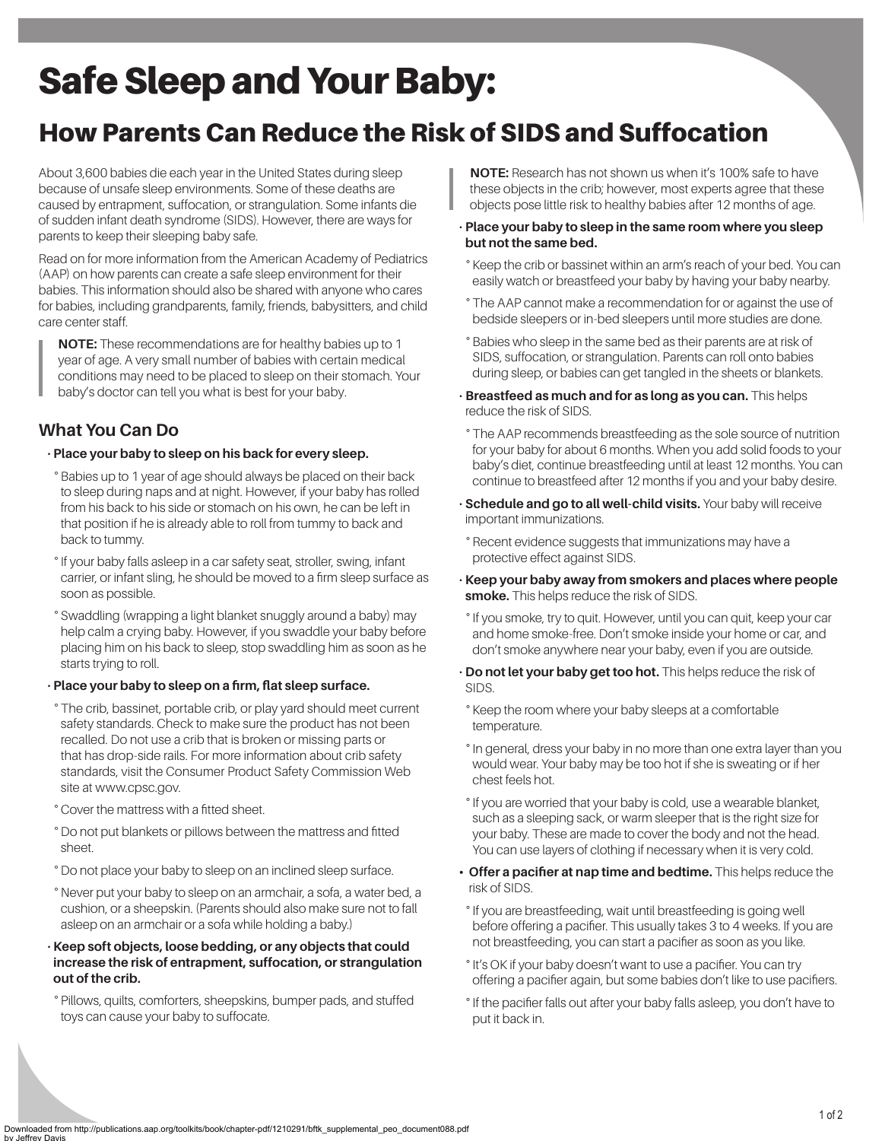# Safe Sleep and Your Baby:

# How Parents Can Reduce the Risk of SIDS and Suffocation

About 3,600 babies die each year in the United States during sleep because of unsafe sleep environments. Some of these deaths are caused by entrapment, suffocation, or strangulation. Some infants die of sudden infant death syndrome (SIDS). However, there are ways for parents to keep their sleeping baby safe.

Read on for more information from the American Academy of Pediatrics (AAP) on how parents can create a safe sleep environment for their babies. This information should also be shared with anyone who cares for babies, including grandparents, family, friends, babysitters, and child care center staff.

**NOTE:** These recommendations are for healthy babies up to 1 year of age. A very small number of babies with certain medical conditions may need to be placed to sleep on their stomach. Your baby's doctor can tell you what is best for your baby.

### **What You Can Do**

#### • **Place your baby to sleep on his back for every sleep.**

° Babies up to 1 year of age should always be placed on their back to sleep during naps and at night. However, if your baby has rolled from his back to his side or stomach on his own, he can be left in that position if he is already able to roll from tummy to back and back to tummy.

- ° If your baby falls asleep in a car safety seat, stroller, swing, infant carrier, or infant sling, he should be moved to a firm sleep surface as soon as possible.
- ° Swaddling (wrapping a light blanket snuggly around a baby) may help calm a crying baby. However, if you swaddle your baby before placing him on his back to sleep, stop swaddling him as soon as he starts trying to roll.

#### • **Place your baby to sleep on a firm, flat sleep surface.**

- ° The crib, bassinet, portable crib, or play yard should meet current safety standards. Check to make sure the product has not been recalled. Do not use a crib that is broken or missing parts or that has drop-side rails. For more information about crib safety standards, visit the Consumer Product Safety Commission Web site at www.cpsc.gov.
- ° Cover the mattress with a fitted sheet.
- ° Do not put blankets or pillows between the mattress and fitted sheet.
- ° Do not place your baby to sleep on an inclined sleep surface.
- ° Never put your baby to sleep on an armchair, a sofa, a water bed, a cushion, or a sheepskin. (Parents should also make sure not to fall asleep on an armchair or a sofa while holding a baby.)
- **Keep soft objects, loose bedding, or any objects that could increase the risk of entrapment, suffocation, or strangulation out of the crib.**

° Pillows, quilts, comforters, sheepskins, bumper pads, and stuffed toys can cause your baby to suffocate.

**NOTE:** Research has not shown us when it's 100% safe to have these objects in the crib; however, most experts agree that these objects pose little risk to healthy babies after 12 months of age.

#### • **Place your baby to sleep in the same room where you sleep but not the same bed.**

- ° Keep the crib or bassinet within an arm's reach of your bed. You can easily watch or breastfeed your baby by having your baby nearby.
- ° The AAP cannot make a recommendation for or against the use of bedside sleepers or in-bed sleepers until more studies are done.
- ° Babies who sleep in the same bed as their parents are at risk of SIDS, suffocation, or strangulation. Parents can roll onto babies during sleep, or babies can get tangled in the sheets or blankets.
- **Breastfeed as much and for as long as you can.** This helps reduce the risk of SIDS.
- ° The AAP recommends breastfeeding as the sole source of nutrition for your baby for about 6 months. When you add solid foods to your baby's diet, continue breastfeeding until at least 12 months. You can continue to breastfeed after 12 months if you and your baby desire.
- **Schedule and go to all well-child visits.** Your baby will receive important immunizations.
- ° Recent evidence suggests that immunizations may have a protective effect against SIDS.
- **Keep your baby away from smokers and places where people smoke.** This helps reduce the risk of SIDS.
- ° If you smoke, try to quit. However, until you can quit, keep your car and home smoke-free. Don't smoke inside your home or car, and don't smoke anywhere near your baby, even if you are outside.
- **Do not let your baby get too hot.** This helps reduce the risk of SIDS.
- ° Keep the room where your baby sleeps at a comfortable temperature.
- ° In general, dress your baby in no more than one extra layer than you would wear. Your baby may be too hot if she is sweating or if her chest feels hot.
- ° If you are worried that your baby is cold, use a wearable blanket, such as a sleeping sack, or warm sleeper that is the right size for your baby. These are made to cover the body and not the head. You can use layers of clothing if necessary when it is very cold.
- **Offer a pacifier at nap time and bedtime.** This helps reduce the risk of SIDS.
- ° If you are breastfeeding, wait until breastfeeding is going well before offering a pacifier. This usually takes 3 to 4 weeks. If you are not breastfeeding, you can start a pacifier as soon as you like.
- ° It's OK if your baby doesn't want to use a pacifier. You can try offering a pacifier again, but some babies don't like to use pacifiers.
- ° If the pacifier falls out after your baby falls asleep, you don't have to put it back in.